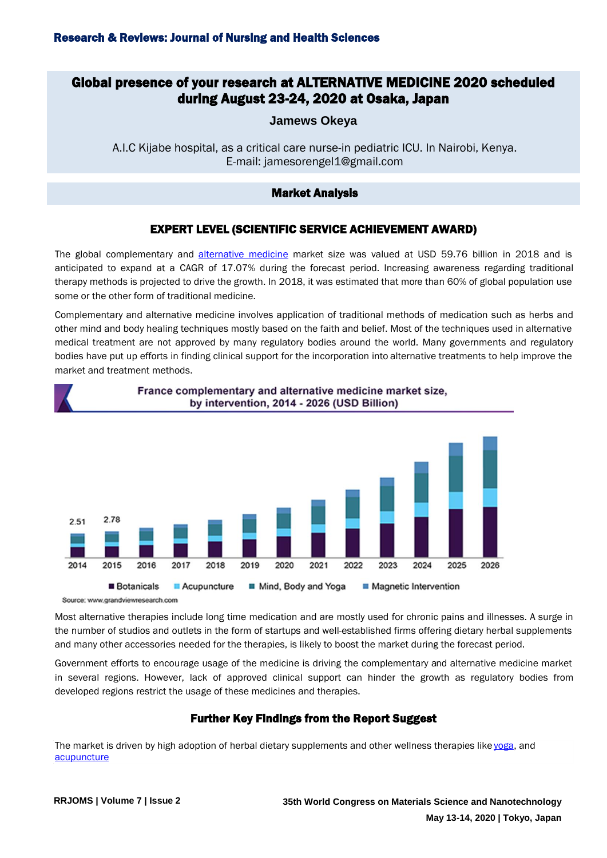# Global presence of your research at ALTERNATIVE MEDICINE 2020 scheduled during August 23-24, 2020 at Osaka, Japan

**Jamews Okeya**

A.I.C Kijabe hospital, as a critical care nurse-in pediatric ICU. In Nairobi, Kenya. E-mail: jamesorengel1@gmail.com

#### Market Analysis

## EXPERT LEVEL (SCIENTIFIC SERVICE ACHIEVEMENT AWARD)

The global complementary and [alternative medicine](https://alternativemedicine.naturalproductsconference.com/) market size was valued at USD 59.76 billion in 2018 and is anticipated to expand at a CAGR of 17.07% during the forecast period. Increasing awareness regarding traditional therapy methods is projected to drive the growth. In 2018, it was estimated that more than 60% of global population use some or the other form of traditional medicine.

Complementary and alternative medicine involves application of traditional methods of medication such as herbs and other mind and body healing techniques mostly based on the faith and belief. Most of the techniques used in alternative medical treatment are not approved by many regulatory bodies around the world. Many governments and regulatory bodies have put up efforts in finding clinical support for the incorporation into alternative treatments to help improve the market and treatment methods.



France complementary and alternative medicine market size, by intervention, 2014 - 2026 (USD Billion)

Source: www.grandviewresearch.com

Most alternative therapies include long time medication and are mostly used for chronic pains and illnesses. A surge in the number of studios and outlets in the form of startups and well-established firms offering dietary herbal supplements and many other accessories needed for the therapies, is likely to boost the market during the forecast period.

Government efforts to encourage usage of the medicine is driving the complementary and alternative medicine market in several regions. However, lack of approved clinical support can hinder the growth as regulatory bodies from developed regions restrict the usage of these medicines and therapies.

## Further Key Findings from the Report Suggest

The market is driven by high adoption of herbal dietary supplements and other wellness therapies lik[e yoga,](https://alternativemedicine.naturalproductsconference.com/) and **[acupuncture](https://alternativemedicine.naturalproductsconference.com/)**